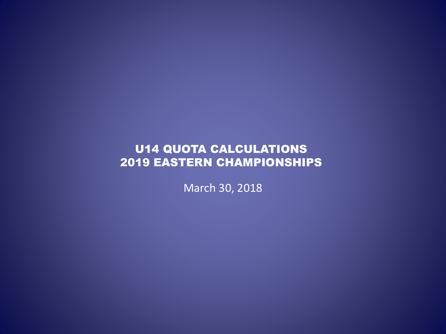### U14 QUOTA CALCULATIONS 2019 EASTERN CHAMPIONSHIPS

March 30, 2018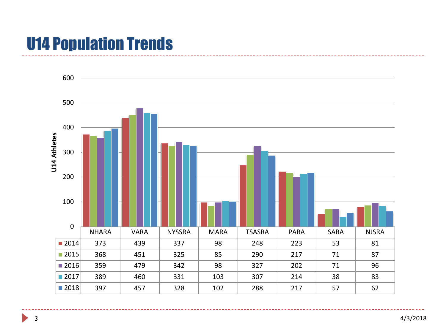# U14 Population Trends



D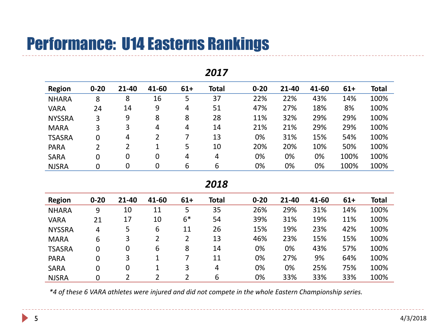# Performance: U14 Easterns Rankings

| <b>Region</b> | $0 - 20$     | 21-40 | 41-60 | $61+$ | <b>Total</b> | $0 - 20$ | 21-40 | 41-60 | $61+$ | <b>Total</b> |
|---------------|--------------|-------|-------|-------|--------------|----------|-------|-------|-------|--------------|
| <b>NHARA</b>  | 8            | 8     | 16    | 5     | 37           | 22%      | 22%   | 43%   | 14%   | 100%         |
| <b>VARA</b>   | 24           | 14    | 9     | 4     | 51           | 47%      | 27%   | 18%   | 8%    | 100%         |
| <b>NYSSRA</b> | 3            | 9     | 8     | 8     | 28           | 11%      | 32%   | 29%   | 29%   | 100%         |
| <b>MARA</b>   | 3            | 3     | 4     | 4     | 14           | 21%      | 21%   | 29%   | 29%   | 100%         |
| <b>TSASRA</b> | 0            | 4     | 2     |       | 13           | 0%       | 31%   | 15%   | 54%   | 100%         |
| <b>PARA</b>   | 2            | 2     |       | 5     | 10           | 20%      | 20%   | 10%   | 50%   | 100%         |
| <b>SARA</b>   | $\mathbf{0}$ | 0     | 0     | 4     | 4            | 0%       | 0%    | 0%    | 100%  | 100%         |
| <b>NJSRA</b>  | 0            | 0     | 0     | 6     | 6            | 0%       | 0%    | 0%    | 100%  | 100%         |

#### *2017*

*2018*

| <b>Region</b> | $0 - 20$ | 21-40 | 41-60 | $61+$ | <b>Total</b> | $0 - 20$ | 21-40 | 41-60 | $61+$ | <b>Total</b> |
|---------------|----------|-------|-------|-------|--------------|----------|-------|-------|-------|--------------|
| <b>NHARA</b>  | 9        | 10    | 11    | 5     | 35           | 26%      | 29%   | 31%   | 14%   | 100%         |
| <b>VARA</b>   | 21       | 17    | 10    | $6*$  | 54           | 39%      | 31%   | 19%   | 11%   | 100%         |
| <b>NYSSRA</b> | 4        | 5     | 6     | 11    | 26           | 15%      | 19%   | 23%   | 42%   | 100%         |
| <b>MARA</b>   | 6        | 3     |       | 2     | 13           | 46%      | 23%   | 15%   | 15%   | 100%         |
| <b>TSASRA</b> | 0        | 0     | 6     | 8     | 14           | 0%       | 0%    | 43%   | 57%   | 100%         |
| <b>PARA</b>   | 0        | 3     |       |       | 11           | 0%       | 27%   | 9%    | 64%   | 100%         |
| <b>SARA</b>   | 0        | 0     |       | 3     | 4            | 0%       | 0%    | 25%   | 75%   | 100%         |
| <b>NJSRA</b>  | 0        |       |       |       | 6            | 0%       | 33%   | 33%   | 33%   | 100%         |

*\*4 of these 6 VARA athletes were injured and did not compete in the whole Eastern Championship series.*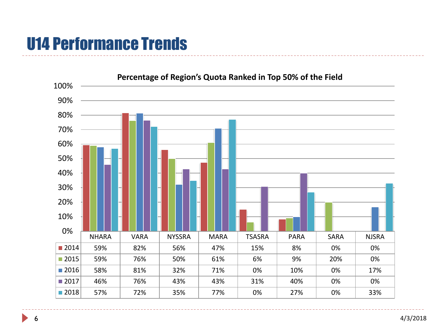# U14 Performance Trends

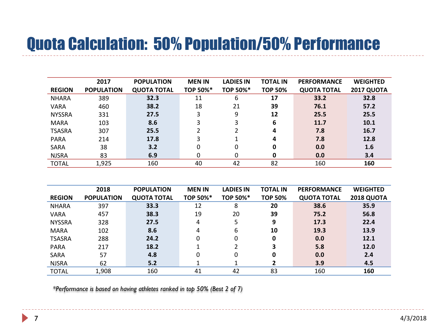# Quota Calculation: 50% Population/50% Performance

|               | 2017              | <b>POPULATION</b>  | <b>MEN IN</b>   | <b>LADIES IN</b> | <b>TOTAL IN</b> | <b>PERFORMANCE</b> | <b>WEIGHTED</b>   |
|---------------|-------------------|--------------------|-----------------|------------------|-----------------|--------------------|-------------------|
| <b>REGION</b> | <b>POPULATION</b> | <b>QUOTA TOTAL</b> | <b>TOP 50%*</b> | <b>TOP 50%*</b>  | <b>TOP 50%</b>  | <b>QUOTA TOTAL</b> | <b>2017 QUOTA</b> |
| <b>NHARA</b>  | 389               | 32.3               | 11              | 6                | 17              | 33.2               | 32.8              |
| VARA          | 460               | 38.2               | 18              | 21               | 39              | 76.1               | 57.2              |
| <b>NYSSRA</b> | 331               | 27.5               | 3               | 9                | 12              | 25.5               | 25.5              |
| <b>MARA</b>   | 103               | 8.6                | 3               | 3                | 6               | 11.7               | 10.1              |
| <b>TSASRA</b> | 307               | 25.5               |                 |                  | 4               | 7.8                | 16.7              |
| <b>PARA</b>   | 214               | 17.8               | 3               |                  | 4               | 7.8                | 12.8              |
| <b>SARA</b>   | 38                | 3.2                | 0               | 0                | 0               | 0.0                | 1.6               |
| <b>NJSRA</b>  | 83                | 6.9                | 0               | 0                | 0               | 0.0                | 3.4               |
| <b>TOTAL</b>  | 1,925             | 160                | 40              | 42               | 82              | 160                | 160               |

|               | 2018              | <b>POPULATION</b>  | <b>MEN IN</b> | <b>LADIES IN</b> | <b>TOTAL IN</b> | <b>PERFORMANCE</b> | <b>WEIGHTED</b>   |
|---------------|-------------------|--------------------|---------------|------------------|-----------------|--------------------|-------------------|
| <b>REGION</b> | <b>POPULATION</b> | <b>QUOTA TOTAL</b> | TOP 50%*      | TOP 50%*         | <b>TOP 50%</b>  | <b>QUOTA TOTAL</b> | <b>2018 QUOTA</b> |
| <b>NHARA</b>  | 397               | 33.3               | 12            | 8                | 20              | 38.6               | 35.9              |
| VARA          | 457               | 38.3               | 19            | 20               | 39              | 75.2               | 56.8              |
| <b>NYSSRA</b> | 328               | 27.5               | 4             | 5                | 9               | 17.3               | 22.4              |
| <b>MARA</b>   | 102               | 8.6                | 4             | 6                | 10              | 19.3               | 13.9              |
| <b>TSASRA</b> | 288               | 24.2               | 0             | 0                | 0               | 0.0                | 12.1              |
| <b>PARA</b>   | 217               | 18.2               |               | 2                | 3               | 5.8                | 12.0              |
| SARA          | 57                | 4.8                | 0             | 0                | 0               | 0.0                | 2.4               |
| <b>NJSRA</b>  | 62                | 5.2                |               |                  |                 | 3.9                | 4.5               |
| <b>TOTAL</b>  | 1,908             | 160                | 41            | 42               | 83              | 160                | 160               |

*\*Performance is based on having athletes ranked in top 50% (Best 2 of 7)*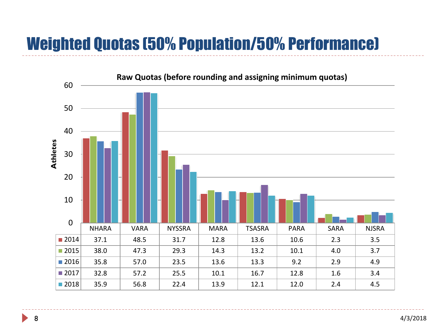# Weighted Quotas (50% Population/50% Performance)



4/3/2018